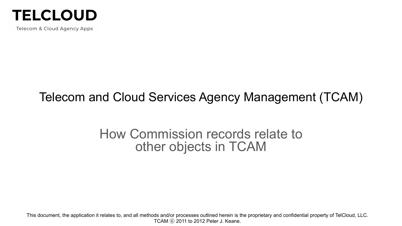

Telecom & Cloud Agency Apps

# Telecom and Cloud Services Agency Management (TCAM)

### How Commission records relate to other objects in TCAM

This document, the application it relates to, and all methods and/or processes outlined herein is the proprietary and confidential property of TelCloud, LLC. TCAM ⓒ 2011 to 2012 Peter J. Keane.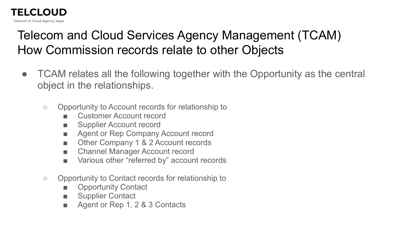# Telecom and Cloud Services Agency Management (TCAM) How Commission records relate to other Objects

- TCAM relates all the following together with the Opportunity as the central object in the relationships.
	- Opportunity to Account records for relationship to
		- Customer Account record
		- Supplier Account record

**TELCLOUD** Telecom & Cloud Agency Apps

- Agent or Rep Company Account record
- Other Company 1 & 2 Account records
- Channel Manager Account record
- Various other "referred by" account records
- Opportunity to Contact records for relationship to
	- **Opportunity Contact**
	- Supplier Contact
	- Agent or Rep 1, 2 & 3 Contacts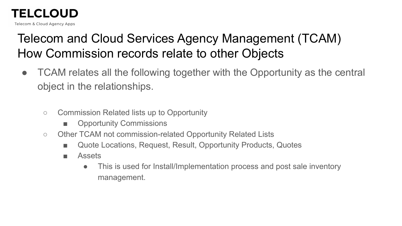### **TELCLOUD**

Telecom & Cloud Agency Apps

# Telecom and Cloud Services Agency Management (TCAM) How Commission records relate to other Objects

- TCAM relates all the following together with the Opportunity as the central object in the relationships.
	- Commission Related lists up to Opportunity
		- **Opportunity Commissions**
	- Other TCAM not commission-related Opportunity Related Lists
		- Quote Locations, Request, Result, Opportunity Products, Quotes
		- Assets
			- This is used for Install/Implementation process and post sale inventory management.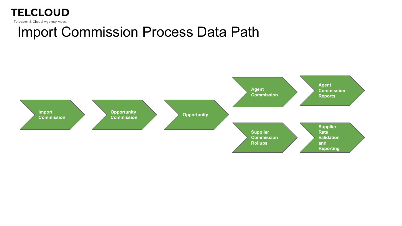

Telecom & Cloud Agency Apps

### Import Commission Process Data Path

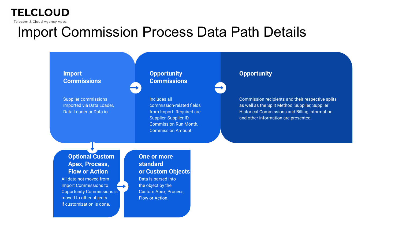### **TELCLOUD**

Telecom & Cloud Agency Apps

# Import Commission Process Data Path Details

#### **Import Commissions**

Supplier commissions imported via Data Loader, Data Loader or Data.io.

#### **Opportunity Commissions**

Includes all commission-related fields from Import. Required are Supplier, Supplier ID, Commission Run Month, Commission Amount.

#### **Opportunity**

Commission recipients and their respective splits as well as the Split Method, Supplier, Supplier Historical Commissions and Billing information and other information are presented.

#### **Optional Custom Apex, Process, Flow or Action**

All data not moved from Import Commissions to Opportunity Commissions is moved to other objects if customization is done.

#### **One or more standard or Custom Objects** Data is parsed into the object by the Custom Apex, Process, Flow or Action.